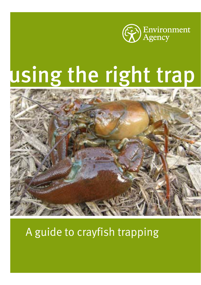

# using the right trap



# A guide to crayfish trapping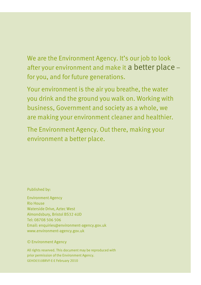We are the Environment Agency. It's our job to look after your environment and make it a better place – for you, and for future generations.

Your environment is the air you breathe, the water you drink and the ground you walk on. Working with business, Government and society as a whole, we are making your environment cleaner and healthier.

The Environment Agency. Out there, making your environment a better place.

### Published by:

Environment Agency Rio House Waterside Drive, Aztec West Almondsbury, Bristol BS32 4UD Tel: 08708 506 506 Email: enquiries@environment-agency.gov.uk www.environment-agency.gov.uk

### © Environment Agency

All rights reserved. This document may be reproduced with prior permission of the Environment Agency. GEHO0310BRVF-E-E February 2010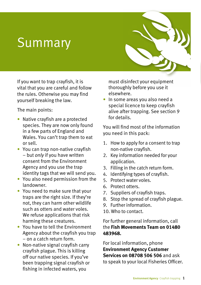# Summary

If you want to trap crayfish, it is vital that you are careful and follow the rules. Otherwise you may find yourself breaking the law.

The main points:

- Native crayfish are a protected species. They are now only found in a few parts of England and Wales. You can't trap them to eat or sell.
- You can trap non-native crayfish – but *only* if you have written consent from the Environment Agency and you use the trap identity tags that we will send you.
- You also need permission from the landowner.
- You need to make sure that your traps are the right size. If they're not, they can harm other wildlife such as otters and water voles. We refuse applications that risk harming these creatures.
- You have to tell the Environment Agency about the crayfish you trap – on a catch return form.
- Non-native signal crayfish carry crayfish plague. This is killing off our native species. If you've been trapping signal crayfish or fishing in infected waters, you

must disinfect your equipment thoroughly before you use it elsewhere.

• In some areas you also need a special licence to keep crayfish alive after trapping. See section 9 for details.

You will find most of the information you need in this pack:

- 1. How to apply for a consent to trap non-native crayfish.
- 2. Key information needed for your application.
- 3. Filling in the catch return form.
- 4. Identifying types of crayfish.
- 5. Protect water voles.
- 6. Protect otters.
- 7. Suppliers of crayfish traps.
- 8. Stop the spread of crayfish plague.
- 9. Further information.
- 10. Who to contact.

# For further general information, call the **Fish Movements Team on 01480 483968.**

For local information, phone **Environment Agency Customer Services on 08708 506 506** and ask to speak to your local Fisheries Officer.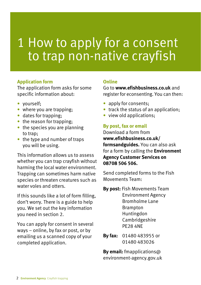# 1 How to apply for a consent to trap non-native crayfish

# **Application form**

The application form asks for some specific information about:

- vourself:
- where you are trapping:
- dates for trapping;
- the reason for trapping:
- the species you are planning to trap;
- the type and number of traps you will be using.

This information allows us to assess whether you can trap crayfish without harming the local water environment. Trapping can sometimes harm native species or threaten creatures such as water voles and otters.

If this sounds like a lot of form filling, don't worry. There is a guide to help you. We set out the key information you need in section 2.

You can apply for consent in several ways – online, by fax or post, or by emailing us a scanned copy of your completed application.

# **Online**

Go to **www.efishbusiness.co.uk** and register for econsenting. You can then:

- apply for consents:
- track the status of an application;
- view old applications;

# **By post, fax or email**

Download a form from **www.efishbusiness.co.uk/ formsandguides.** You can also ask for a form by calling the **Environment Agency Customer Services on 08708 506 506.**

Send completed forms to the Fish Movements Team:

- **By post:** Fish Movements Team Environment Agency Bromholme Lane Brampton Huntingdon Cambridgeshire PE28 4NE
- **By fax:** 01480 483955 or 01480 483026

**By email:** fmapplications@ environment-agency.gov.uk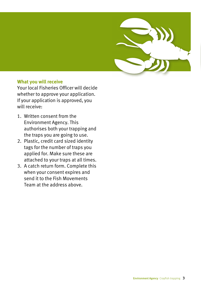

# **What you will receive**

Your local Fisheries Officer will decide whether to approve your application. If your application is approved, you will receive:

- 1. Written consent from the Environment Agency. This authorises both your trapping and the traps you are going to use.
- 2. Plastic, credit card sized identity tags for the number of traps you applied for. Make sure these are attached to your traps at all times.
- 3. A catch return form. Complete this when your consent expires and send it to the Fish Movements Team at the address above.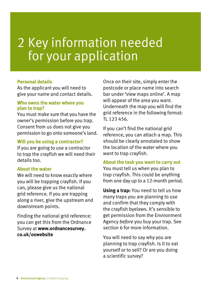# 2 Key information needed for your application

# **Personal details**

As the applicant you will need to give your name and contact details.

# **Who owns the water where you plan to trap?**

You must make sure that you have the owner's permission before you trap. Consent from us does not give you permission to go onto someone's land.

# **Will you be using a contractor?**

If you are going to use a contractor to trap the crayfish we will need their details too.

# **About the water**

We will need to know exactly where you will be trapping crayfish. If you can, please give us the national grid reference. If you are trapping along a river, give the upstream and downstream points.

Finding the national grid reference: you can get this from the Ordnance Survey at **www.ordnancesurvey. co.uk/oswebsite**

Once on their site, simply enter the postcode or place name into search bar under 'view maps online'. A map will appear of the area you want. Underneath the map you will find the grid reference in the following format: TL 123 456.

If you can't find the national grid reference, you can attach a map. This should be clearly annotated to show the location of the water where you want to trap crayfish.

# **About the task you want to carry out**

You must tell us when you plan to trap crayfish. This could be anything from one day up to a 12-month period.

**Using a trap:** You need to tell us how many traps you are planning to use and confirm that they comply with the crayfish byelaws. It's sensible to get permission from the Environment Agency *before* you buy your trap. See section 6 for more information.

You will need to say why you are planning to trap crayfish. Is it to eat yourself or to sell? Or are you doing a scientific survey?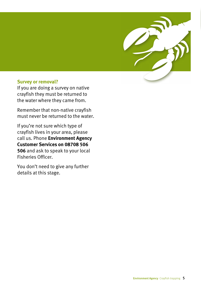

# **Survey or removal?**

If you are doing a survey on native crayfish they must be returned to the water where they came from.

Remember that non-native crayfish must never be returned to the water.

If you're not sure which type of crayfish lives in your area, please call us. Phone **Environment Agency Customer Services on 08708 506 506** and ask to speak to your local Fisheries Officer.

You don't need to give any further details at this stage.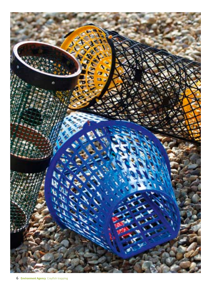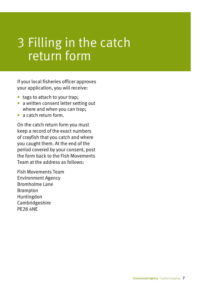# 3 Filling in the catch return form

If your local fisheries officer approves your application, you will receive:

- tags to attach to your trap;
- a written consent letter setting out where and when you can trap;
- a catch return form.

On the catch return form you must keep a record of the exact numbers of crayfish that you catch and where you caught them. At the end of the period covered by your consent, post the form back to the Fish Movements Team at the address as follows:

Fish Movements Team Environment Agency Bromholme Lane Brampton Huntingdon Cambridgeshire PE28 4NE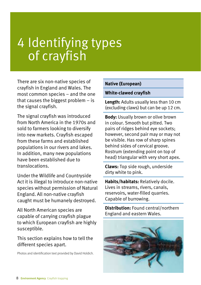# 4 Identifying types of crayfish

There are six non-native species of crayfish in England and Wales. The most common species – and the one that causes the biggest problem – is the signal crayfish.

The signal crayfish was introduced from North America in the 1970s and sold to farmers looking to diversify into new markets. Crayfish escaped from these farms and established populations in our rivers and lakes. In addition, many new populations have been established due to translocations.

Under the Wildlife and Countryside Act it is illegal to introduce non-native species without permission of Natural England. All non-native crayfish caught must be humanely destroyed.

All North American species are capable of carrying crayfish plague to which European crayfish are highly susceptible.

This section explains how to tell the different species apart.

Photos and identification text provided by David Holdich.

# **Native (European)**

### **White-clawed crayfish**

**Length:** Adults usually less than 10 cm (excluding claws) but can be up 12 cm.

**Body:** Usually brown or olive brown in colour. Smooth but pitted. Two pairs of ridges behind eye sockets; however, second pair may or may not be visible. Has row of sharp spines behind sides of cervical groove. Rostrum (extending point on top of head) triangular with very short apex.

**Claws:** Top side rough, underside dirty white to pink.

**Habits/habitats:** Relatively docile. Lives in streams, rivers, canals, reservoirs, water-filled quarries. Capable of burrowing.

**Distribution:** Found central/northern England and eastern Wales.

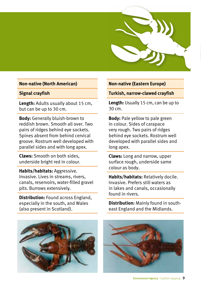

### **Non-native (North American)**

### **Signal crayfish**

**Length:** Adults usually about 15 cm, but can be up to 30 cm.

**Body:** Generally bluish-brown to reddish brown. Smooth all over. Two pairs of ridges behind eye sockets. Spines absent from behind cervical groove. Rostrum well developed with parallel sides and with long apex.

**Claws:** Smooth on both sides, underside bright red in colour.

**Habits/habitats:** Aggressive. Invasive. Lives in streams, rivers, canals, reservoirs, water-filled gravel pits. Burrows extensively.

**Distribution:** Found across England, especially in the south, and Wales (also present in Scotland).



### **Non-native (Eastern Europe)**

### **Turkish, narrow-clawed crayfish**

**Length:** Usually 15 cm, can be up to 30 cm.

**Body:** Pale yellow to pale green in colour. Sides of carapace very rough. Two pairs of ridges behind eye sockets. Rostrum well developed with parallel sides and long apex.

**Claws:** Long and narrow, upper surface rough, underside same colour as body.

**Habits/habitats:** Relatively docile. Invasive. Prefers still waters as in lakes and canals, occasionally found in rivers.

**Distribution:** Mainly found in southeast England and the Midlands.

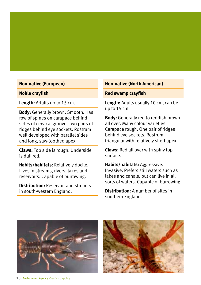### **Non-native (European)**

### **Noble crayfish**

**Length:** Adults up to 15 cm.

**Body:** Generally brown. Smooth. Has row of spines on carapace behind sides of cervical groove. Two pairs of ridges behind eye sockets. Rostrum well developed with parallel sides and long, saw-toothed apex.

**Claws:** Top side is rough. Underside is dull red.

**Habits/habitats:** Relatively docile. Lives in streams, rivers, lakes and reservoirs. Capable of burrowing.

**Distribution:** Reservoir and streams in south-western England.

### **Non-native (North American)**

### **Red swamp crayfish**

**Length:** Adults usually 10 cm, can be up to 15 cm.

**Body:** Generally red to reddish brown all over. Many colour varieties. Carapace rough. One pair of ridges behind eye sockets. Rostrum triangular with relatively short apex.

**Claws:** Red all over with spiny top surface.

**Habits/habitats:** Aggressive. Invasive. Prefers still waters such as lakes and canals, but can live in all sorts of waters. Capable of burrowing.

**Distribution:** A number of sites in southern England.



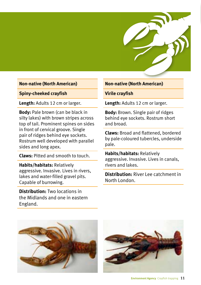

# **Non-native (North American)**

**Spiny-cheeked crayfish**

**Length:** Adults 12 cm or larger.

**Body:** Pale brown (can be black in silty lakes) with brown stripes across top of tail. Prominent spines on sides in front of cervical groove. Single pair of ridges behind eye sockets. Rostrum well developed with parallel sides and long apex.

**Claws:** Pitted and smooth to touch.

**Habits/habitats:** Relatively aggressive. Invasive. Lives in rivers, lakes and water-filled gravel pits. Capable of burrowing.

**Distribution:** Two locations in the Midlands and one in eastern England.

# **Non-native (North American)**

### **Virile crayfish**

**Length:** Adults 12 cm or larger.

**Body:** Brown. Single pair of ridges behind eye sockets. Rostrum short and broad.

**Claws:** Broad and flattened, bordered by pale-coloured tubercles, underside pale.

**Habits/habitats:** Relatively aggressive. Invasive. Lives in canals, rivers and lakes.

**Distribution:** River Lee catchment in North London.



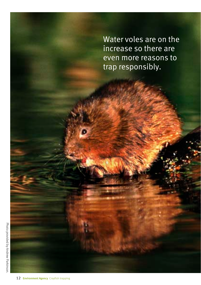Water voles are on the increase so there are even more reasons to trap responsibly.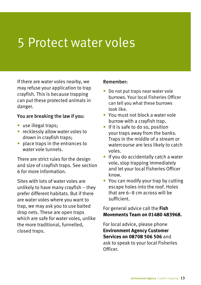# 5 Protect water voles

If there are water voles nearby, we may refuse your application to trap crayfish. This is because trapping can put these protected animals in danger.

# You are breaking the law if you:

- use illegal traps;
- recklessly allow water voles to drown in crayfish traps;
- place traps in the entrances to water vole tunnels.

There are strict rules for the design and size of crayfish traps. See section 6 for more information.

Sites with lots of water voles are unlikely to have many crayfish – they prefer different habitats. But if there are water voles where you want to trap, we may ask you to use baited drop nets. These are open traps which are safe for water voles, unlike the more traditional, funnelled, closed traps.

# Remember:

- Do not put traps near water vole burrows. Your local Fisheries Officer can tell you what these burrows look like.
- You must not block a water vole burrow with a crayfish trap.
- If it is safe to do so, position your traps away from the banks. Traps in the middle of a stream or watercourse are less likely to catch voles.
- If you do accidentally catch a water vole, stop trapping immediately and let your local Fisheries Officer know.
- You can modify your trap by cutting escape holes into the roof. Holes that are 6–8 cm across will be sufficient.

# For general advice call the **Fish Movements Team on 01480 483968.**

For local advice, please phone **Environment Agency Customer Services on 08708 506 506** and ask to speak to your local Fisheries Officer.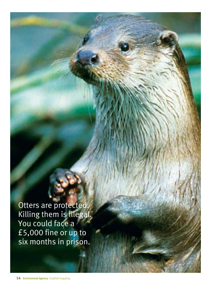Otters are protected. Killing them is illegal. You could face a £5,000 fine or up to six months in prison.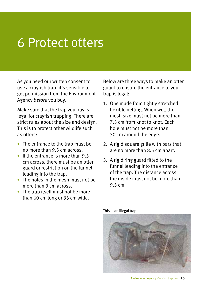# 6 Protect otters

As you need our written consent to use a crayfish trap, it's sensible to get permission from the Environment Agency *before* you buy.

Make sure that the trap you buy is legal for crayfish trapping. There are strict rules about the size and design. This is to protect other wildlife such as otters:

- The entrance to the trap must be no more than 9.5 cm across.
- If the entrance is more than 9.5 cm across, there must be an otter guard or restriction on the funnel leading into the trap.
- The holes in the mesh must not be more than 3 cm across.
- The trap itself must not be more than 60 cm long or 35 cm wide.

Below are three ways to make an otter guard to ensure the entrance to your trap is legal:

- 1. One made from tightly stretched flexible netting. When wet, the mesh size must not be more than 7.5 cm from knot to knot. Each hole must not be more than 30 cm around the edge.
- 2. A rigid square grille with bars that are no more than 8.5 cm apart.
- 3. A rigid ring guard fitted to the funnel leading into the entrance of the trap. The distance across the inside must not be more than 9.5 cm.



This is an illegal trap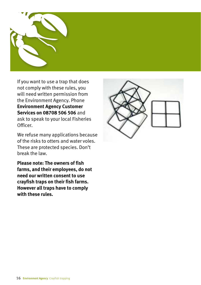

If you want to use a trap that does not comply with these rules, you will need written permission from the Environment Agency. Phone **Environment Agency Customer Services on 08708 506 506** and ask to speak to your local Fisheries Officer.

We refuse many applications because of the risks to otters and water voles. These are protected species. Don't break the law.

**Please note: The owners of fish farms, and their employees, do not need our written consent to use crayfish traps on their fish farms. However all traps have to comply with these rules.**

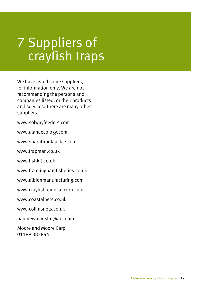# 7 Suppliers of crayfish traps

We have listed some suppliers. for information only. We are not recommending the persons and companies listed, or their products and services. There are many other suppliers.

www.solwayfeeders.com

www.alanaecology.com

www.sharnbrooktackle.com

www.trapman.co.uk

www.fishkit.co.uk

www.framlinghamfisheries.co.uk

www.albionmanufacturing.com

www.crayfishremovaloxon.co.uk

www.coastalnets.co.uk

www.collinsnets.co.uk

paulnewmansfm@aol.com

Moore and Moore Carp 01189 882844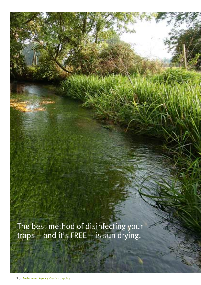The best method of disinfecting your traps – and it's FREE – is sun drying.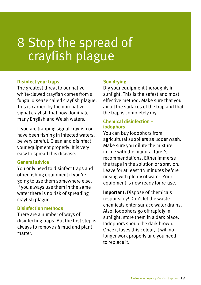# 8 Stop the spread of crayfish plague

# **Disinfect your traps**

The greatest threat to our native white-clawed crayfish comes from a fungal disease called crayfish plague. This is carried by the non-native signal crayfish that now dominate many English and Welsh waters.

If you are trapping signal crayfish or have been fishing in infected waters, be very careful. Clean and disinfect your equipment properly. It is very easy to spread this disease.

# **General advice**

You only need to disinfect traps and other fishing equipment if you're going to use them somewhere else. If you always use them in the same water there is no risk of spreading crayfish plague.

# **Disinfection methods**

There are a number of ways of disinfecting traps. But the first step is always to remove *all* mud and plant matter.

# **Sun drying**

Dry your equipment thoroughly in sunlight. This is the safest and most effective method. Make sure that you air all the surfaces of the trap and that the trap is completely dry.

# **Chemical disinfection – iodophors**

You can buy iodophors from agricultural suppliers as udder wash. Make sure you dilute the mixture in line with the manufacturer's recommendations. Either immerse the traps in the solution or spray on. Leave for at least 15 minutes before rinsing with plenty of water. Your equipment is now ready for re-use.

**Important:** Dispose of chemicals responsibly! Don't let the waste chemicals enter surface water drains. Also, iodophors go off rapidly in sunlight: store them in a dark place. Iodophors should be dark brown. Once it loses this colour, it will no longer work properly and you need to replace it.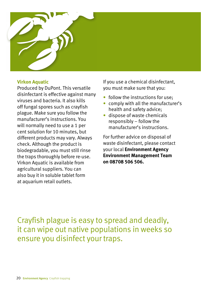

# **Virkon Aquatic**

Produced by DuPont. This versatile disinfectant is effective against many viruses and bacteria. It also kills off fungal spores such as crayfish plague. Make sure you follow the manufacturer's instructions. You will normally need to use a 1 per cent solution for 10 minutes, but different products may vary. Always check. Although the product is biodegradable, you must still rinse the traps thoroughly before re-use. Virkon Aquatic is available from agricultural suppliers. You can also buy it in soluble tablet form at aquarium retail outlets.

If you use a chemical disinfectant, you must make sure that you:

- follow the instructions for use:
- comply with all the manufacturer's health and safety advice;
- dispose of waste chemicals responsibly – follow the manufacturer's instructions.

For further advice on disposal of waste disinfectant, please contact your local **Environment Agency Environment Management Team on 08708 506 506.**

Crayfish plague is easy to spread and deadly, it can wipe out native populations in weeks so ensure you disinfect your traps.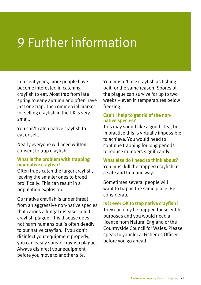# 9 Further information

In recent years, more people have become interested in catching crayfish to eat. Most trap from late spring to early autumn and often have just one trap. The commercial market for selling crayfish in the UK is very small.

You can't catch native crayfish to eat or sell.

Nearly everyone will need written consent to trap crayfish.

# **What is the problem with trapping non-native crayfish?**

Often traps catch the larger crayfish, leaving the smaller ones to breed prolifically. This can result in a population explosion.

Our native crayfish is under threat from an aggressive non-native species that carries a fungal disease called crayfish plague. This disease does not harm humans but is often deadly to our native crayfish. If you don't disinfect your equipment properly, you can easily spread crayfish plague. Always disinfect your equipment before you move to another site.

You mustn't use crayfish as fishing bait for the same reason. Spores of the plague can survive for up to two weeks – even in temperatures below freezing.

# **Can't I help to get rid of the nonnative species?**

This may sound like a good idea, but in practice this is virtually impossible to achieve. You would need to continue trapping for long periods to reduce numbers significantly.

# **What else do I need to think about?**

You must kill the trapped crayfish in a safe and humane way.

Sometimes several people will want to trap in the same place. Be considerate.

# **Is it ever OK to trap native crayfish?**

They can only be trapped for scientific purposes and you would need a licence from Natural England or the Countryside Council for Wales. Please speak to your local Fisheries Officer before you go ahead.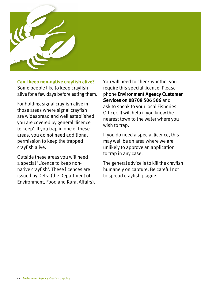

**Can I keep non-native crayfish alive?** Some people like to keep crayfish alive for a few days before eating them.

For holding signal crayfish alive in those areas where signal crayfish are widespread and well established you are covered by general 'licence to keep'. If you trap in one of these areas, you do not need additional permission to keep the trapped crayfish alive.

Outside these areas you will need a special 'Licence to keep nonnative crayfish'. These licences are issued by Defra (the Department of Environment, Food and Rural Affairs). You will need to check whether you require this special licence. Please phone **Environment Agency Customer Services on 08708 506 506** and ask to speak to your local Fisheries Officer. It will help if you know the nearest town to the water where you wish to trap.

If you do need a special licence, this may well be an area where we are unlikely to approve an application to trap in any case.

The general advice is to kill the crayfish humanely on capture. Be careful not to spread crayfish plague.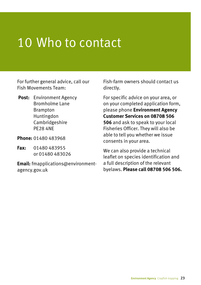# 10 Who to contact

For further general advice, call our Fish Movements Team:

**Post:** Environment Agency Bromholme Lane Brampton Huntingdon Cambridgeshire PE28 4NE

**Phone:** 01480 483968

**Fax:** 01480 483955 or 01480 483026

**Email:** fmapplications@environmentagency.gov.uk

Fish-farm owners should contact us directly.

For specific advice on your area, or on your completed application form, please phone **Environment Agency Customer Services on 08708 506 506** and ask to speak to your local Fisheries Officer. They will also be able to tell you whether we issue consents in your area.

We can also provide a technical leaflet on species identification and a full description of the relevant byelaws. **Please call 08708 506 506.**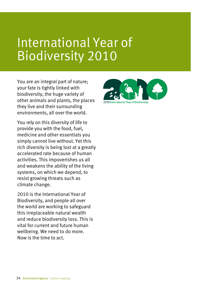# International Year of Biodiversity 2010

You are an integral part of nature; your fate is tightly linked with biodiversity, the huge variety of other animals and plants, the places they live and their surrounding environments, all over the world.

You rely on this diversity of life to provide you with the food, fuel, medicine and other essentials you simply cannot live without. Yet this rich diversity is being lost at a greatly accelerated rate because of human activities. This impoverishes us all and weakens the ability of the living systems, on which we depend, to resist growing threats such as climate change.

2010 is the International Year of Biodiversity, and people all over the world are working to safeguard this irreplaceable natural wealth and reduce biodiversity loss. This is vital for current and future human wellbeing. We need to do more. Now is the time to act.

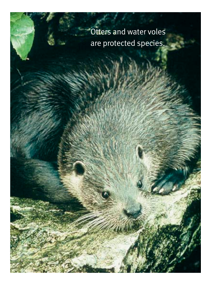# Otters and water voles are protected species.